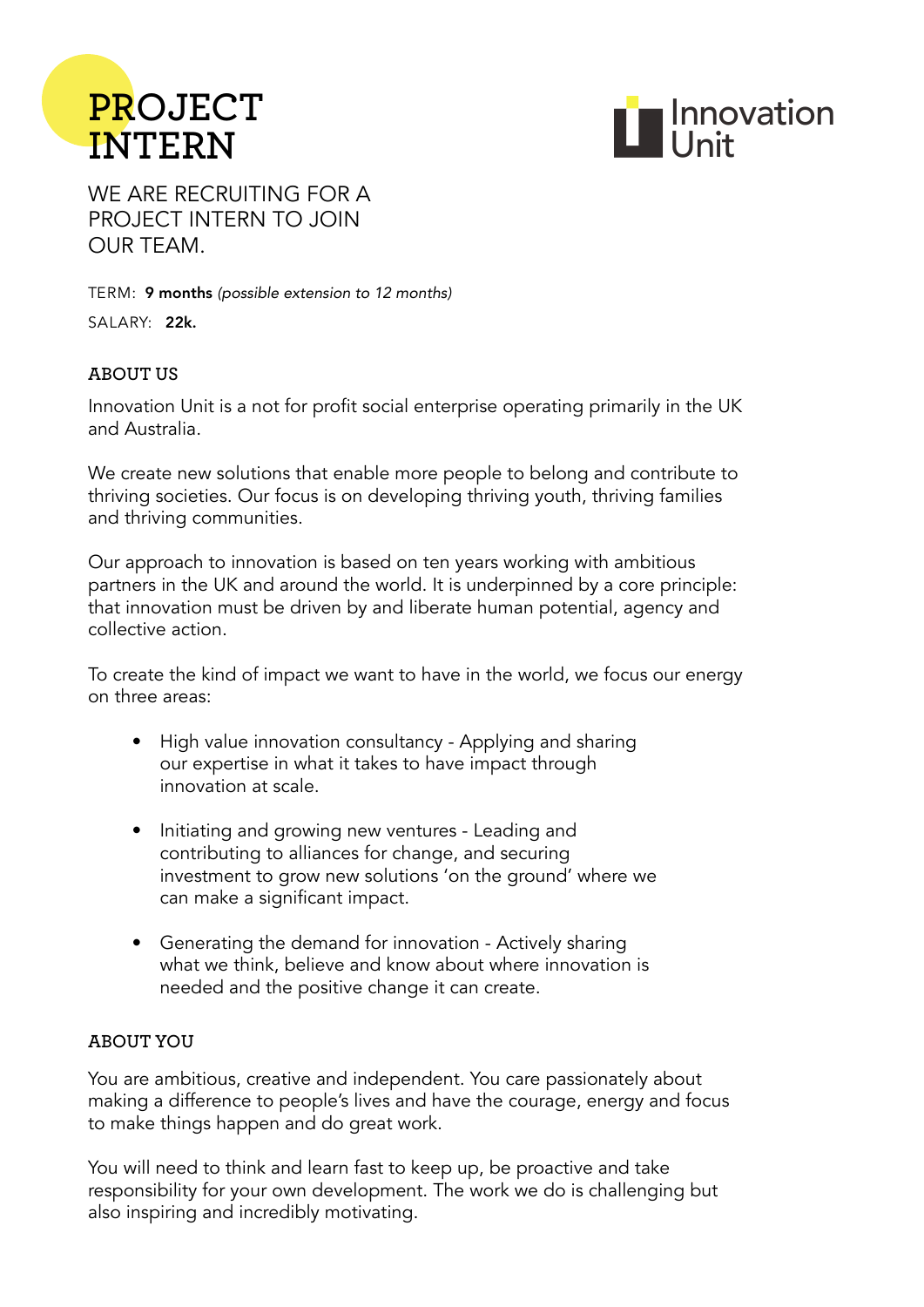



WE ARE RECRUITING FOR A project intern to join OUR TEAM.

TERM: 9 months *(possible extension to 12 months)* 

SALARY: 22k.

# **ABOUT US**

Innovation Unit is a not for profit social enterprise operating primarily in the UK and Australia.

We create new solutions that enable more people to belong and contribute to thriving societies. Our focus is on developing thriving youth, thriving families and thriving communities.

Our approach to innovation is based on ten years working with ambitious partners in the UK and around the world. It is underpinned by a core principle: that innovation must be driven by and liberate human potential, agency and collective action.

To create the kind of impact we want to have in the world, we focus our energy on three areas:

- High value innovation consultancy Applying and sharing our expertise in what it takes to have impact through innovation at scale.
- Initiating and growing new ventures Leading and contributing to alliances for change, and securing investment to grow new solutions 'on the ground' where we can make a significant impact.
- Generating the demand for innovation Actively sharing what we think, believe and know about where innovation is needed and the positive change it can create.

#### **ABOUT yOU**

You are ambitious, creative and independent. You care passionately about making a difference to people's lives and have the courage, energy and focus to make things happen and do great work.

You will need to think and learn fast to keep up, be proactive and take responsibility for your own development. The work we do is challenging but also inspiring and incredibly motivating.